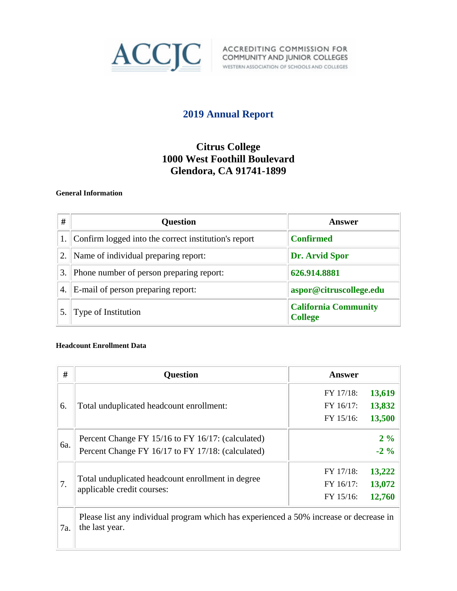

# **2019 Annual Report**

# **Citrus College 1000 West Foothill Boulevard Glendora, CA 91741-1899**

### **General Information**

| #  | <b>Question</b>                                      | Answer                                        |
|----|------------------------------------------------------|-----------------------------------------------|
|    | Confirm logged into the correct institution's report | <b>Confirmed</b>                              |
| 2. | Name of individual preparing report:                 | Dr. Arvid Spor                                |
| 3. | Phone number of person preparing report:             | 626.914.8881                                  |
| 4. | E-mail of person preparing report:                   | aspor@citruscollege.edu                       |
|    | Type of Institution                                  | <b>California Community</b><br><b>College</b> |

#### **Headcount Enrollment Data**

| #   | <b>Question</b>                                                                                          | Answer    |        |
|-----|----------------------------------------------------------------------------------------------------------|-----------|--------|
|     |                                                                                                          | FY 17/18: | 13,619 |
| 6.  | Total unduplicated headcount enrollment:                                                                 | FY 16/17: | 13,832 |
|     |                                                                                                          | FY 15/16: | 13,500 |
|     | Percent Change FY 15/16 to FY 16/17: (calculated)                                                        |           | $2\%$  |
| 6a. | Percent Change FY 16/17 to FY 17/18: (calculated)                                                        |           | $-2\%$ |
| 7.  |                                                                                                          | FY 17/18: | 13,222 |
|     | Total unduplicated headcount enrollment in degree                                                        | FY 16/17: | 13,072 |
|     | applicable credit courses:                                                                               | FY 15/16: | 12,760 |
| 7a. | Please list any individual program which has experienced a 50% increase or decrease in<br>the last year. |           |        |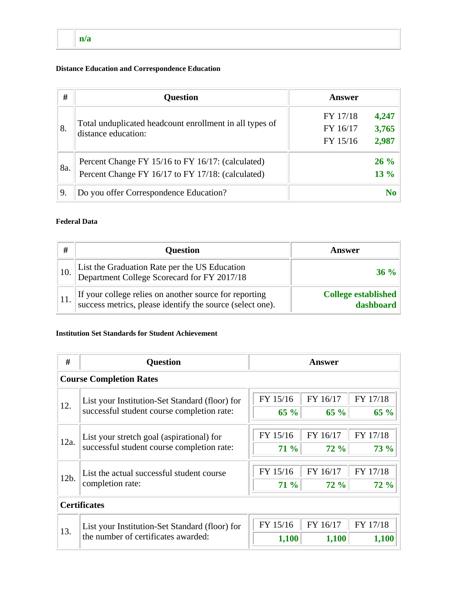## **n/a**

### **Distance Education and Correspondence Education**

| #   | <b>Question</b>                                         | <b>Answer</b>        |                |
|-----|---------------------------------------------------------|----------------------|----------------|
| 8.  | Total unduplicated headcount enrollment in all types of | FY 17/18<br>FY 16/17 | 4,247<br>3,765 |
|     | distance education:                                     | FY 15/16             | 2,987          |
|     | Percent Change FY 15/16 to FY 16/17: (calculated)       |                      | $26\%$         |
| 8a. | Percent Change FY 16/17 to FY 17/18: (calculated)       |                      | $13\%$         |
| 9.  | Do you offer Correspondence Education?                  |                      | N <sub>0</sub> |

### **Federal Data**

| #   | <b>Question</b>                                                                                                     | Answer                                  |
|-----|---------------------------------------------------------------------------------------------------------------------|-----------------------------------------|
| 10. | List the Graduation Rate per the US Education<br>Department College Scorecard for FY 2017/18                        | $36\%$                                  |
|     | If your college relies on another source for reporting<br>success metrics, please identify the source (select one). | <b>College established</b><br>dashboard |

## **Institution Set Standards for Student Achievement**

| #    | <b>Question</b><br><b>Answer</b>                                                        |             |             |          |
|------|-----------------------------------------------------------------------------------------|-------------|-------------|----------|
|      | <b>Course Completion Rates</b>                                                          |             |             |          |
|      | List your Institution-Set Standard (floor) for                                          | FY 15/16    | FY 16/17    | FY 17/18 |
| 12.  | successful student course completion rate:                                              | $65 \%$     | 65 %        | $65 \%$  |
| 12a. | List your stretch goal (aspirational) for<br>successful student course completion rate: | FY 15/16    | FY 16/17    | FY 17/18 |
|      |                                                                                         | <b>71 %</b> | <b>72 %</b> | 73%      |
|      | List the actual successful student course<br>completion rate:                           | FY 15/16    | FY 16/17    | FY 17/18 |
| 12b. |                                                                                         | $71\%$      | <b>72 %</b> | 72%      |
|      | <b>Certificates</b>                                                                     |             |             |          |
|      | List your Institution-Set Standard (floor) for                                          | FY 15/16    | FY 16/17    | FY 17/18 |
| 13.  | the number of certificates awarded:                                                     | 1,100       | 1,100       | 1,100    |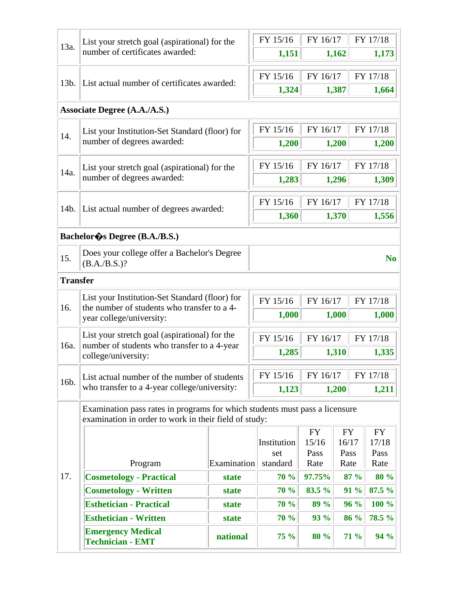| 13a.                                           | List your stretch goal (aspirational) for the                                                                             |                      | FY 15/16         | FY 16/17           |                    | FY 17/18           |
|------------------------------------------------|---------------------------------------------------------------------------------------------------------------------------|----------------------|------------------|--------------------|--------------------|--------------------|
|                                                | number of certificates awarded:                                                                                           |                      | 1,151            |                    | 1,162              | 1,173              |
| 13b.                                           | List actual number of certificates awarded:                                                                               |                      | FY 15/16         | FY 16/17           |                    | FY 17/18           |
|                                                |                                                                                                                           |                      | 1,324            |                    | 1,387              | 1,664              |
|                                                | <b>Associate Degree (A.A./A.S.)</b>                                                                                       |                      |                  |                    |                    |                    |
| List your Institution-Set Standard (floor) for |                                                                                                                           |                      | FY 15/16         | FY 16/17           |                    | FY 17/18           |
| 14.                                            | number of degrees awarded:                                                                                                |                      | 1,200            |                    | 1,200              | 1,200              |
|                                                | List your stretch goal (aspirational) for the                                                                             |                      | FY 15/16         | FY 16/17           |                    | FY 17/18           |
| 14a.                                           | number of degrees awarded:                                                                                                |                      | 1,283            |                    | 1,296              | 1,309              |
|                                                |                                                                                                                           |                      | FY 15/16         | FY 16/17           |                    | FY 17/18           |
| 14b.                                           | List actual number of degrees awarded:                                                                                    |                      | 1,360            |                    | 1,370              | 1,556              |
|                                                | Bachelor & Degree (B.A./B.S.)                                                                                             |                      |                  |                    |                    |                    |
|                                                | Does your college offer a Bachelor's Degree                                                                               |                      |                  |                    |                    |                    |
| 15.                                            | $(B.A./B.S.)$ ?                                                                                                           |                      |                  | N <sub>o</sub>     |                    |                    |
| <b>Transfer</b>                                |                                                                                                                           |                      |                  |                    |                    |                    |
| 16.                                            | List your Institution-Set Standard (floor) for<br>the number of students who transfer to a 4-<br>year college/university: |                      | FY 15/16         | FY 16/17           |                    | FY 17/18           |
|                                                |                                                                                                                           |                      | 1,000            |                    | 1,000              | 1,000              |
|                                                | List your stretch goal (aspirational) for the                                                                             |                      | FY 15/16         | FY 16/17           |                    | FY 17/18           |
| 16a.                                           | number of students who transfer to a 4-year<br>college/university:                                                        |                      | 1,285            |                    | 1,310              | 1,335              |
|                                                | List actual number of the number of students                                                                              |                      | FY 15/16         | FY 16/17           |                    | FY 17/18           |
| 16b.                                           | who transfer to a 4-year college/university:                                                                              |                      | 1,123            |                    | 1,200              | 1,211              |
|                                                | Examination pass rates in programs for which students must pass a licensure                                               |                      |                  |                    |                    |                    |
|                                                | examination in order to work in their field of study:                                                                     |                      |                  |                    |                    |                    |
|                                                |                                                                                                                           |                      | Institution      | <b>FY</b><br>15/16 | <b>FY</b><br>16/17 | <b>FY</b><br>17/18 |
|                                                |                                                                                                                           |                      | set              | Pass               | Pass               | Pass               |
| 17.                                            | Program<br><b>Cosmetology - Practical</b>                                                                                 | Examination<br>state | standard<br>70 % | Rate<br>97.75%     | Rate<br>87 %       | Rate<br>80 %       |
|                                                | <b>Cosmetology - Written</b>                                                                                              | state                | 70 %             | 83.5 %             | 91 %               | 87.5 %             |
|                                                | <b>Esthetician - Practical</b>                                                                                            | state                | 70 %             | 89 %               | 96 %               | 100 %              |
|                                                | <b>Esthetician - Written</b>                                                                                              | state                | <b>70 %</b>      | 93 %               | 86 %               | 78.5 %             |
|                                                | <b>Emergency Medical</b><br><b>Technician - EMT</b>                                                                       | national             | 75 %             | 80 %               | 71 %               | 94 %               |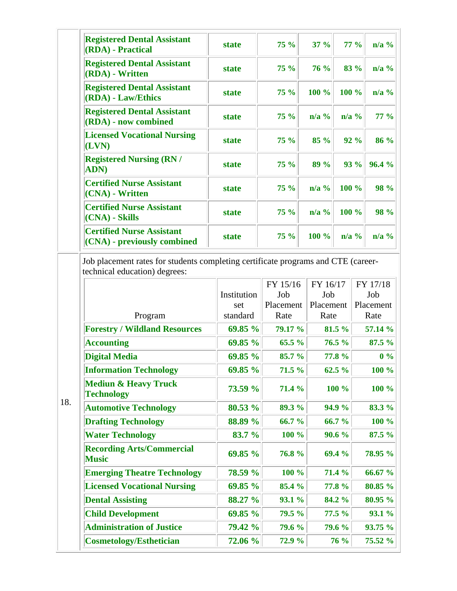| <b>Registered Dental Assistant</b><br>(RDA) - Practical         | state        | $75 \%$ | $37 \%$                   | $77\%$                    | $n/a$ %     |
|-----------------------------------------------------------------|--------------|---------|---------------------------|---------------------------|-------------|
| <b>Registered Dental Assistant</b><br>(RDA) - Written           | state        | $75 \%$ | 76 %                      | 83 %                      | $n/a$ %     |
| <b>Registered Dental Assistant</b><br>(RDA) - Law/Ethics        | <b>state</b> | $75 \%$ | $100 \%$                  | $100 \%$                  | $n/a$ %     |
| <b>Registered Dental Assistant</b><br>(RDA) - now combined      | <b>state</b> | $75 \%$ | $n/a$ %                   | $\mathbf{n}/\mathbf{a}$ % | $77\%$      |
| <b>Licensed Vocational Nursing</b><br>(LVN)                     | <b>state</b> | $75 \%$ | $85 \%$                   | $92\%$                    | 86 %        |
| <b>Registered Nursing (RN /</b><br><b>ADN</b> )                 | <b>state</b> | $75 \%$ | 89 %                      | 93 %                      | 96.4 %      |
| <b>Certified Nurse Assistant</b><br>(CNA) - Written             | <b>state</b> | $75 \%$ | $n/a$ %                   | $100 \%$                  | <b>98 %</b> |
| <b>Certified Nurse Assistant</b><br>(CNA) - Skills              | state        | 75%     | $\mathbf{n}/\mathbf{a}$ % | $100 \%$                  | <b>98 %</b> |
| <b>Certified Nurse Assistant</b><br>(CNA) - previously combined | state        | $75 \%$ | $100 \%$                  | $n/a$ %                   | $n/a$ %     |

Job placement rates for students completing certificate programs and CTE (careertechnical education) degrees:

|                                                      |             | FY 15/16  | FY 16/17  | FY 17/18  |
|------------------------------------------------------|-------------|-----------|-----------|-----------|
|                                                      | Institution | Job       | Job       | Job       |
|                                                      | set         | Placement | Placement | Placement |
| Program                                              | standard    | Rate      | Rate      | Rate      |
| <b>Forestry / Wildland Resources</b>                 | 69.85 %     | 79.17 %   | 81.5 %    | 57.14 %   |
| <b>Accounting</b>                                    | 69.85 %     | 65.5 %    | 76.5%     | 87.5 %    |
| <b>Digital Media</b>                                 | 69.85 %     | 85.7 %    | 77.8 %    | $0\%$     |
| <b>Information Technology</b>                        | 69.85 %     | 71.5 %    | 62.5 %    | 100 %     |
| <b>Mediun &amp; Heavy Truck</b><br><b>Technology</b> | 73.59 %     | 71.4 %    | 100 %     | 100 %     |
| <b>Automotive Technology</b>                         | 80.53 %     | 89.3 %    | 94.9 %    | 83.3 %    |
| <b>Drafting Technology</b>                           | 88.89 %     | 66.7 %    | 66.7 %    | 100 %     |
| <b>Water Technology</b>                              | 83.7 %      | 100 %     | 90.6 %    | 87.5 %    |
| <b>Recording Arts/Commercial</b><br><b>Music</b>     | 69.85 %     | 76.8%     | 69.4 %    | 78.95 %   |
| <b>Emerging Theatre Technology</b>                   | 78.59 %     | 100 %     | 71.4 %    | 66.67 %   |
| <b>Licensed Vocational Nursing</b>                   | 69.85 %     | 85.4 %    | 77.8 %    | 80.85 %   |
| <b>Dental Assisting</b>                              | 88.27 %     | 93.1 %    | 84.2 %    | 80.95 %   |
| <b>Child Development</b>                             | 69.85 %     | 79.5 %    | 77.5 %    | 93.1 %    |
| <b>Administration of Justice</b>                     | 79.42 %     | 79.6 %    | 79.6 %    | 93.75 %   |
| <b>Cosmetology/Esthetician</b>                       | 72.06 %     | 72.9 %    | 76 %      | 75.52 %   |

18.